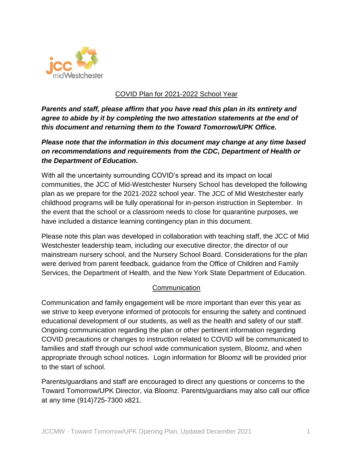

## COVID Plan for 2021-2022 School Year

*Parents and staff, please affirm that you have read this plan in its entirety and agree to abide by it by completing the two attestation statements at the end of this document and returning them to the Toward Tomorrow/UPK Office.*

# *Please note that the information in this document may change at any time based on recommendations and requirements from the CDC, Department of Health or the Department of Education.*

With all the uncertainty surrounding COVID's spread and its impact on local communities, the JCC of Mid-Westchester Nursery School has developed the following plan as we prepare for the 2021-2022 school year. The JCC of Mid Westchester early childhood programs will be fully operational for in-person instruction in September. In the event that the school or a classroom needs to close for quarantine purposes, we have included a distance learning contingency plan in this document.

Please note this plan was developed in collaboration with teaching staff, the JCC of Mid Westchester leadership team, including our executive director, the director of our mainstream nursery school, and the Nursery School Board. Considerations for the plan were derived from parent feedback, guidance from the Office of Children and Family Services, the Department of Health, and the New York State Department of Education.

## Communication

Communication and family engagement will be more important than ever this year as we strive to keep everyone informed of protocols for ensuring the safety and continued educational development of our students, as well as the health and safety of our staff. Ongoing communication regarding the plan or other pertinent information regarding COVID precautions or changes to instruction related to COVID will be communicated to families and staff through our school wide communication system, Bloomz, and when appropriate through school notices. Login information for Bloomz will be provided prior to the start of school.

Parents/guardians and staff are encouraged to direct any questions or concerns to the Toward Tomorrow/UPK Director, via Bloomz. Parents/guardians may also call our office at any time (914)725-7300 x821.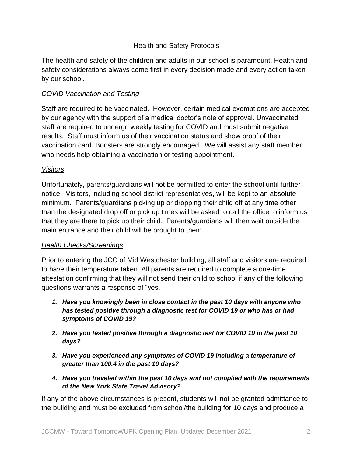# Health and Safety Protocols

The health and safety of the children and adults in our school is paramount. Health and safety considerations always come first in every decision made and every action taken by our school.

## *COVID Vaccination and Testing*

Staff are required to be vaccinated. However, certain medical exemptions are accepted by our agency with the support of a medical doctor's note of approval. Unvaccinated staff are required to undergo weekly testing for COVID and must submit negative results. Staff must inform us of their vaccination status and show proof of their vaccination card. Boosters are strongly encouraged. We will assist any staff member who needs help obtaining a vaccination or testing appointment.

## *Visitors*

Unfortunately, parents/guardians will not be permitted to enter the school until further notice. Visitors, including school district representatives, will be kept to an absolute minimum. Parents/guardians picking up or dropping their child off at any time other than the designated drop off or pick up times will be asked to call the office to inform us that they are there to pick up their child. Parents/guardians will then wait outside the main entrance and their child will be brought to them.

## *Health Checks/Screenings*

Prior to entering the JCC of Mid Westchester building, all staff and visitors are required to have their temperature taken. All parents are required to complete a one-time attestation confirming that they will not send their child to school if any of the following questions warrants a response of "yes."

- *1. Have you knowingly been in close contact in the past 10 days with anyone who has tested positive through a diagnostic test for COVID 19 or who has or had symptoms of COVID 19?*
- *2. Have you tested positive through a diagnostic test for COVID 19 in the past 10 days?*
- *3. Have you experienced any symptoms of COVID 19 including a temperature of greater than 100.4 in the past 10 days?*
- *4. Have you traveled within the past 10 days and not complied with the requirements of the New York State Travel Advisory?*

If any of the above circumstances is present, students will not be granted admittance to the building and must be excluded from school/the building for 10 days and produce a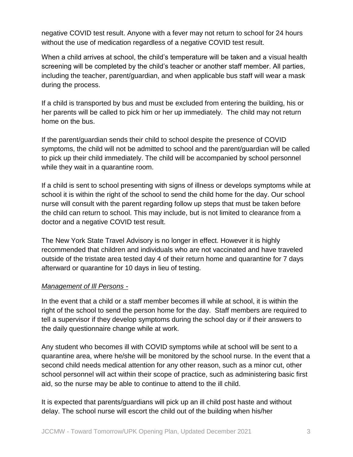negative COVID test result. Anyone with a fever may not return to school for 24 hours without the use of medication regardless of a negative COVID test result.

When a child arrives at school, the child's temperature will be taken and a visual health screening will be completed by the child's teacher or another staff member. All parties, including the teacher, parent/guardian, and when applicable bus staff will wear a mask during the process.

If a child is transported by bus and must be excluded from entering the building, his or her parents will be called to pick him or her up immediately. The child may not return home on the bus.

If the parent/guardian sends their child to school despite the presence of COVID symptoms, the child will not be admitted to school and the parent/guardian will be called to pick up their child immediately. The child will be accompanied by school personnel while they wait in a quarantine room.

If a child is sent to school presenting with signs of illness or develops symptoms while at school it is within the right of the school to send the child home for the day. Our school nurse will consult with the parent regarding follow up steps that must be taken before the child can return to school. This may include, but is not limited to clearance from a doctor and a negative COVID test result.

The New York State Travel Advisory is no longer in effect. However it is highly recommended that children and individuals who are not vaccinated and have traveled outside of the tristate area tested day 4 of their return home and quarantine for 7 days afterward or quarantine for 10 days in lieu of testing.

## *Management of Ill Persons -*

In the event that a child or a staff member becomes ill while at school, it is within the right of the school to send the person home for the day. Staff members are required to tell a supervisor if they develop symptoms during the school day or if their answers to the daily questionnaire change while at work.

Any student who becomes ill with COVID symptoms while at school will be sent to a quarantine area, where he/she will be monitored by the school nurse. In the event that a second child needs medical attention for any other reason, such as a minor cut, other school personnel will act within their scope of practice, such as administering basic first aid, so the nurse may be able to continue to attend to the ill child.

It is expected that parents/guardians will pick up an ill child post haste and without delay. The school nurse will escort the child out of the building when his/her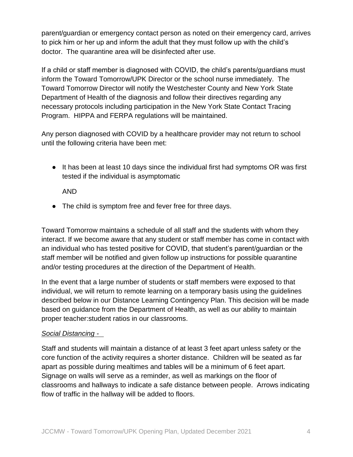parent/guardian or emergency contact person as noted on their emergency card, arrives to pick him or her up and inform the adult that they must follow up with the child's doctor. The quarantine area will be disinfected after use.

If a child or staff member is diagnosed with COVID, the child's parents/guardians must inform the Toward Tomorrow/UPK Director or the school nurse immediately. The Toward Tomorrow Director will notify the Westchester County and New York State Department of Health of the diagnosis and follow their directives regarding any necessary protocols including participation in the New York State Contact Tracing Program. HIPPA and FERPA regulations will be maintained.

Any person diagnosed with COVID by a healthcare provider may not return to school until the following criteria have been met:

● It has been at least 10 days since the individual first had symptoms OR was first tested if the individual is asymptomatic

AND

• The child is symptom free and fever free for three days.

Toward Tomorrow maintains a schedule of all staff and the students with whom they interact. If we become aware that any student or staff member has come in contact with an individual who has tested positive for COVID, that student's parent/guardian or the staff member will be notified and given follow up instructions for possible quarantine and/or testing procedures at the direction of the Department of Health.

In the event that a large number of students or staff members were exposed to that individual, we will return to remote learning on a temporary basis using the guidelines described below in our Distance Learning Contingency Plan. This decision will be made based on guidance from the Department of Health, as well as our ability to maintain proper teacher:student ratios in our classrooms.

#### *Social Distancing -*

Staff and students will maintain a distance of at least 3 feet apart unless safety or the core function of the activity requires a shorter distance. Children will be seated as far apart as possible during mealtimes and tables will be a minimum of 6 feet apart. Signage on walls will serve as a reminder, as well as markings on the floor of classrooms and hallways to indicate a safe distance between people. Arrows indicating flow of traffic in the hallway will be added to floors.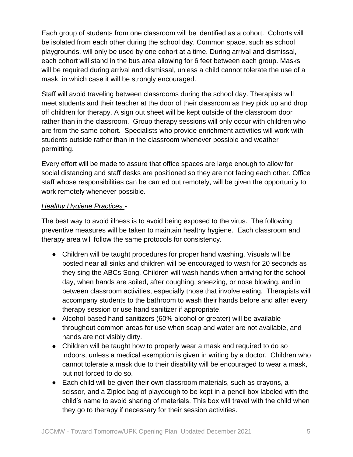Each group of students from one classroom will be identified as a cohort. Cohorts will be isolated from each other during the school day. Common space, such as school playgrounds, will only be used by one cohort at a time. During arrival and dismissal, each cohort will stand in the bus area allowing for 6 feet between each group. Masks will be required during arrival and dismissal, unless a child cannot tolerate the use of a mask, in which case it will be strongly encouraged.

Staff will avoid traveling between classrooms during the school day. Therapists will meet students and their teacher at the door of their classroom as they pick up and drop off children for therapy. A sign out sheet will be kept outside of the classroom door rather than in the classroom. Group therapy sessions will only occur with children who are from the same cohort. Specialists who provide enrichment activities will work with students outside rather than in the classroom whenever possible and weather permitting.

Every effort will be made to assure that office spaces are large enough to allow for social distancing and staff desks are positioned so they are not facing each other. Office staff whose responsibilities can be carried out remotely, will be given the opportunity to work remotely whenever possible.

### *Healthy Hygiene Practices -*

The best way to avoid illness is to avoid being exposed to the virus. The following preventive measures will be taken to maintain healthy hygiene. Each classroom and therapy area will follow the same protocols for consistency.

- Children will be taught procedures for proper hand washing. Visuals will be posted near all sinks and children will be encouraged to wash for 20 seconds as they sing the ABCs Song. Children will wash hands when arriving for the school day, when hands are soiled, after coughing, sneezing, or nose blowing, and in between classroom activities, especially those that involve eating. Therapists will accompany students to the bathroom to wash their hands before and after every therapy session or use hand sanitizer if appropriate.
- Alcohol-based hand sanitizers (60% alcohol or greater) will be available throughout common areas for use when soap and water are not available, and hands are not visibly dirty.
- Children will be taught how to properly wear a mask and required to do so indoors, unless a medical exemption is given in writing by a doctor. Children who cannot tolerate a mask due to their disability will be encouraged to wear a mask, but not forced to do so.
- Each child will be given their own classroom materials, such as crayons, a scissor, and a Ziploc bag of playdough to be kept in a pencil box labeled with the child's name to avoid sharing of materials. This box will travel with the child when they go to therapy if necessary for their session activities.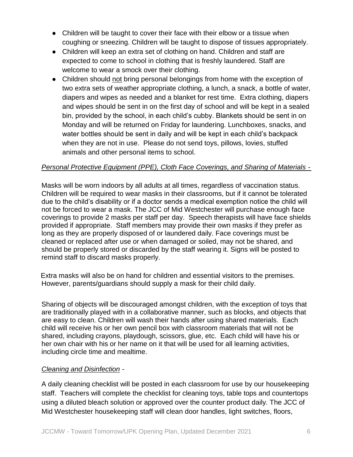- Children will be taught to cover their face with their elbow or a tissue when coughing or sneezing. Children will be taught to dispose of tissues appropriately.
- Children will keep an extra set of clothing on hand. Children and staff are expected to come to school in clothing that is freshly laundered. Staff are welcome to wear a smock over their clothing.
- Children should not bring personal belongings from home with the exception of two extra sets of weather appropriate clothing, a lunch, a snack, a bottle of water, diapers and wipes as needed and a blanket for rest time. Extra clothing, diapers and wipes should be sent in on the first day of school and will be kept in a sealed bin, provided by the school, in each child's cubby. Blankets should be sent in on Monday and will be returned on Friday for laundering. Lunchboxes, snacks, and water bottles should be sent in daily and will be kept in each child's backpack when they are not in use. Please do not send toys, pillows, lovies, stuffed animals and other personal items to school.

### *Personal Protective Equipment (PPE), Cloth Face Coverings, and Sharing of Materials -*

Masks will be worn indoors by all adults at all times, regardless of vaccination status. Children will be required to wear masks in their classrooms, but if it cannot be tolerated due to the child's disability or if a doctor sends a medical exemption notice the child will not be forced to wear a mask. The JCC of Mid Westchester will purchase enough face coverings to provide 2 masks per staff per day. Speech therapists will have face shields provided if appropriate. Staff members may provide their own masks if they prefer as long as they are properly disposed of or laundered daily. Face coverings must be cleaned or replaced after use or when damaged or soiled, may not be shared, and should be properly stored or discarded by the staff wearing it. Signs will be posted to remind staff to discard masks properly.

 Extra masks will also be on hand for children and essential visitors to the premises. However, parents/guardians should supply a mask for their child daily.

Sharing of objects will be discouraged amongst children, with the exception of toys that are traditionally played with in a collaborative manner, such as blocks, and objects that are easy to clean. Children will wash their hands after using shared materials. Each child will receive his or her own pencil box with classroom materials that will not be shared, including crayons, playdough, scissors, glue, etc. Each child will have his or her own chair with his or her name on it that will be used for all learning activities, including circle time and mealtime.

#### *Cleaning and Disinfection -*

A daily cleaning checklist will be posted in each classroom for use by our housekeeping staff. Teachers will complete the checklist for cleaning toys, table tops and countertops using a diluted bleach solution or approved over the counter product daily. The JCC of Mid Westchester housekeeping staff will clean door handles, light switches, floors,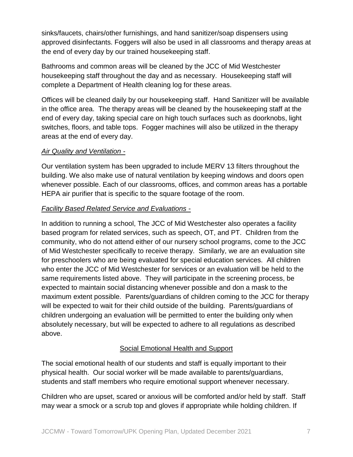sinks/faucets, chairs/other furnishings, and hand sanitizer/soap dispensers using approved disinfectants. Foggers will also be used in all classrooms and therapy areas at the end of every day by our trained housekeeping staff.

Bathrooms and common areas will be cleaned by the JCC of Mid Westchester housekeeping staff throughout the day and as necessary. Housekeeping staff will complete a Department of Health cleaning log for these areas.

Offices will be cleaned daily by our housekeeping staff. Hand Sanitizer will be available in the office area. The therapy areas will be cleaned by the housekeeping staff at the end of every day, taking special care on high touch surfaces such as doorknobs, light switches, floors, and table tops. Fogger machines will also be utilized in the therapy areas at the end of every day.

### *Air Quality and Ventilation -*

Our ventilation system has been upgraded to include MERV 13 filters throughout the building. We also make use of natural ventilation by keeping windows and doors open whenever possible. Each of our classrooms, offices, and common areas has a portable HEPA air purifier that is specific to the square footage of the room.

## *Facility Based Related Service and Evaluations -*

In addition to running a school, The JCC of Mid Westchester also operates a facility based program for related services, such as speech, OT, and PT. Children from the community, who do not attend either of our nursery school programs, come to the JCC of Mid Westchester specifically to receive therapy. Similarly, we are an evaluation site for preschoolers who are being evaluated for special education services. All children who enter the JCC of Mid Westchester for services or an evaluation will be held to the same requirements listed above. They will participate in the screening process, be expected to maintain social distancing whenever possible and don a mask to the maximum extent possible. Parents/guardians of children coming to the JCC for therapy will be expected to wait for their child outside of the building. Parents/guardians of children undergoing an evaluation will be permitted to enter the building only when absolutely necessary, but will be expected to adhere to all regulations as described above.

## Social Emotional Health and Support

The social emotional health of our students and staff is equally important to their physical health. Our social worker will be made available to parents/guardians, students and staff members who require emotional support whenever necessary.

Children who are upset, scared or anxious will be comforted and/or held by staff. Staff may wear a smock or a scrub top and gloves if appropriate while holding children. If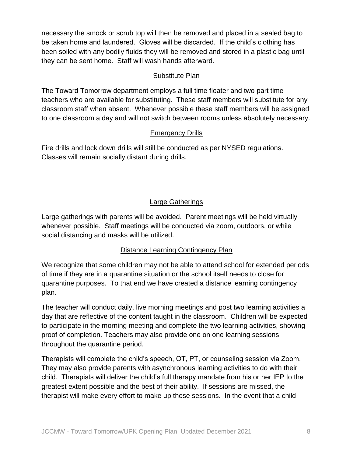necessary the smock or scrub top will then be removed and placed in a sealed bag to be taken home and laundered. Gloves will be discarded. If the child's clothing has been soiled with any bodily fluids they will be removed and stored in a plastic bag until they can be sent home. Staff will wash hands afterward.

### Substitute Plan

The Toward Tomorrow department employs a full time floater and two part time teachers who are available for substituting. These staff members will substitute for any classroom staff when absent. Whenever possible these staff members will be assigned to one classroom a day and will not switch between rooms unless absolutely necessary.

## Emergency Drills

Fire drills and lock down drills will still be conducted as per NYSED regulations. Classes will remain socially distant during drills.

# Large Gatherings

Large gatherings with parents will be avoided. Parent meetings will be held virtually whenever possible. Staff meetings will be conducted via zoom, outdoors, or while social distancing and masks will be utilized.

# Distance Learning Contingency Plan

We recognize that some children may not be able to attend school for extended periods of time if they are in a quarantine situation or the school itself needs to close for quarantine purposes. To that end we have created a distance learning contingency plan.

The teacher will conduct daily, live morning meetings and post two learning activities a day that are reflective of the content taught in the classroom. Children will be expected to participate in the morning meeting and complete the two learning activities, showing proof of completion. Teachers may also provide one on one learning sessions throughout the quarantine period.

Therapists will complete the child's speech, OT, PT, or counseling session via Zoom. They may also provide parents with asynchronous learning activities to do with their child. Therapists will deliver the child's full therapy mandate from his or her IEP to the greatest extent possible and the best of their ability. If sessions are missed, the therapist will make every effort to make up these sessions. In the event that a child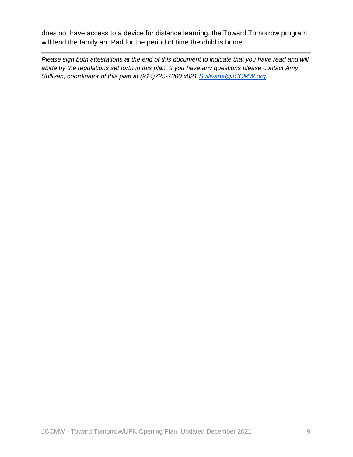does not have access to a device for distance learning, the Toward Tomorrow program will lend the family an IPad for the period of time the child is home.

*Please sign both attestations at the end of this document to indicate that you have read and will abide by the regulations set forth in this plan. If you have any questions please contact Amy Sullivan, coordinator of this plan at (914)725-7300 x821 [Sullivana@JCCMW.org.](mailto:Sullivana@JCCMW.org)*

JCCMW - Toward Tomorrow/UPK Opening Plan, Updated December 2021 9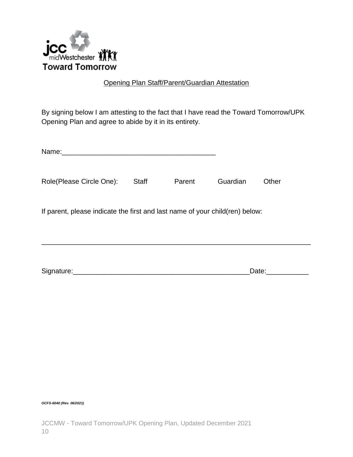

## Opening Plan Staff/Parent/Guardian Attestation

By signing below I am attesting to the fact that I have read the Toward Tomorrow/UPK Opening Plan and agree to abide by it in its entirety.

| Name:                                                                        |              |        |          |       |  |
|------------------------------------------------------------------------------|--------------|--------|----------|-------|--|
| Role(Please Circle One):                                                     | <b>Staff</b> | Parent | Guardian | Other |  |
| If parent, please indicate the first and last name of your child(ren) below: |              |        |          |       |  |
| Signature:                                                                   |              |        |          | Date: |  |

*OCFS-6040 (Rev. 06/2021)*